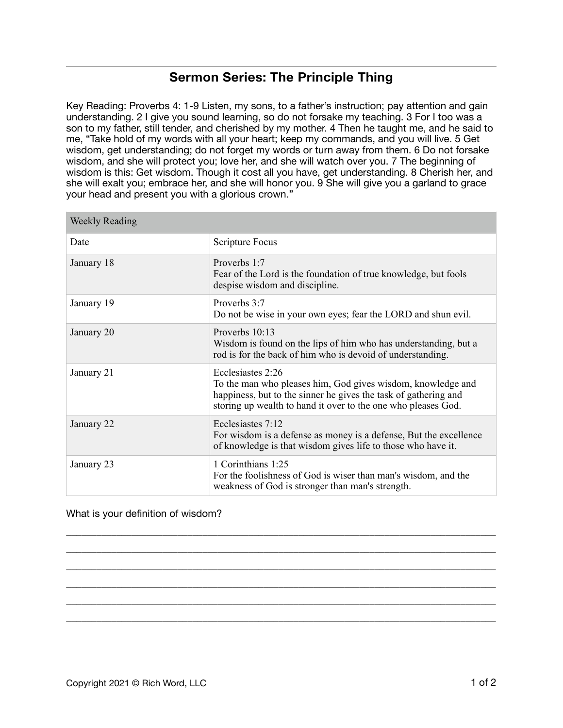## **Sermon Series: The Principle Thing**

Key Reading: Proverbs 4: 1-9 Listen, my sons, to a father's instruction; pay attention and gain understanding. 2 I give you sound learning, so do not forsake my teaching. 3 For I too was a son to my father, still tender, and cherished by my mother. 4 Then he taught me, and he said to me, "Take hold of my words with all your heart; keep my commands, and you will live. 5 Get wisdom, get understanding; do not forget my words or turn away from them. 6 Do not forsake wisdom, and she will protect you; love her, and she will watch over you. 7 The beginning of wisdom is this: Get wisdom. Though it cost all you have, get understanding. 8 Cherish her, and she will exalt you; embrace her, and she will honor you. 9 She will give you a garland to grace your head and present you with a glorious crown."

| <b>Weekly Reading</b> |                                                                                                                                                                                                                      |
|-----------------------|----------------------------------------------------------------------------------------------------------------------------------------------------------------------------------------------------------------------|
| Date                  | Scripture Focus                                                                                                                                                                                                      |
| January 18            | Proverbs 1:7<br>Fear of the Lord is the foundation of true knowledge, but fools<br>despise wisdom and discipline.                                                                                                    |
| January 19            | Proverbs 3:7<br>Do not be wise in your own eyes; fear the LORD and shun evil.                                                                                                                                        |
| January 20            | Proverbs $10:13$<br>Wisdom is found on the lips of him who has understanding, but a<br>rod is for the back of him who is devoid of understanding.                                                                    |
| January 21            | Ecclesiastes 2:26<br>To the man who pleases him, God gives wisdom, knowledge and<br>happiness, but to the sinner he gives the task of gathering and<br>storing up wealth to hand it over to the one who pleases God. |
| January 22            | Ecclesiastes 7:12<br>For wisdom is a defense as money is a defense, But the excellence<br>of knowledge is that wisdom gives life to those who have it.                                                               |
| January 23            | 1 Corinthians 1:25<br>For the foolishness of God is wiser than man's wisdom, and the<br>weakness of God is stronger than man's strength.                                                                             |

\_\_\_\_\_\_\_\_\_\_\_\_\_\_\_\_\_\_\_\_\_\_\_\_\_\_\_\_\_\_\_\_\_\_\_\_\_\_\_\_\_\_\_\_\_\_\_\_\_\_\_\_\_\_\_\_\_\_\_\_\_\_\_\_\_\_\_\_\_\_\_\_\_\_\_\_\_\_\_\_\_\_\_\_\_ \_\_\_\_\_\_\_\_\_\_\_\_\_\_\_\_\_\_\_\_\_\_\_\_\_\_\_\_\_\_\_\_\_\_\_\_\_\_\_\_\_\_\_\_\_\_\_\_\_\_\_\_\_\_\_\_\_\_\_\_\_\_\_\_\_\_\_\_\_\_\_\_\_\_\_\_\_\_\_\_\_\_\_\_\_ \_\_\_\_\_\_\_\_\_\_\_\_\_\_\_\_\_\_\_\_\_\_\_\_\_\_\_\_\_\_\_\_\_\_\_\_\_\_\_\_\_\_\_\_\_\_\_\_\_\_\_\_\_\_\_\_\_\_\_\_\_\_\_\_\_\_\_\_\_\_\_\_\_\_\_\_\_\_\_\_\_\_\_\_\_ \_\_\_\_\_\_\_\_\_\_\_\_\_\_\_\_\_\_\_\_\_\_\_\_\_\_\_\_\_\_\_\_\_\_\_\_\_\_\_\_\_\_\_\_\_\_\_\_\_\_\_\_\_\_\_\_\_\_\_\_\_\_\_\_\_\_\_\_\_\_\_\_\_\_\_\_\_\_\_\_\_\_\_\_\_ \_\_\_\_\_\_\_\_\_\_\_\_\_\_\_\_\_\_\_\_\_\_\_\_\_\_\_\_\_\_\_\_\_\_\_\_\_\_\_\_\_\_\_\_\_\_\_\_\_\_\_\_\_\_\_\_\_\_\_\_\_\_\_\_\_\_\_\_\_\_\_\_\_\_\_\_\_\_\_\_\_\_\_\_\_ \_\_\_\_\_\_\_\_\_\_\_\_\_\_\_\_\_\_\_\_\_\_\_\_\_\_\_\_\_\_\_\_\_\_\_\_\_\_\_\_\_\_\_\_\_\_\_\_\_\_\_\_\_\_\_\_\_\_\_\_\_\_\_\_\_\_\_\_\_\_\_\_\_\_\_\_\_\_\_\_\_\_\_\_\_

## What is your definition of wisdom?